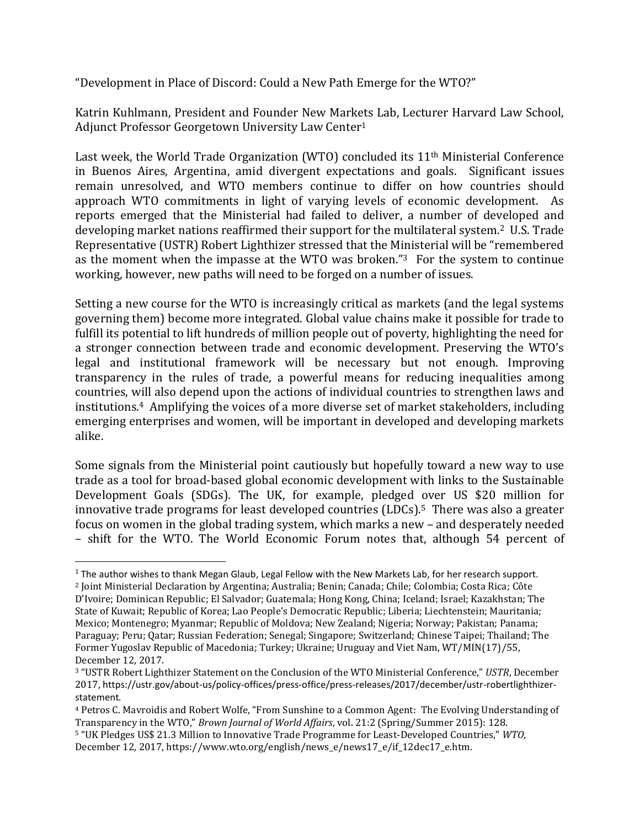"Development in Place of Discord: Could a New Path Emerge for the WTO?"

Katrin Kuhlmann, President and Founder New Markets Lab, Lecturer Harvard Law School, Adjunct Professor Georgetown University Law Center<sup>1</sup>

Last week, the World Trade Organization (WTO) concluded its 11<sup>th</sup> Ministerial Conference in Buenos Aires, Argentina, amid divergent expectations and goals. Significant issues remain unresolved, and WTO members continue to differ on how countries should approach WTO commitments in light of varying levels of economic development. As reports emerged that the Ministerial had failed to deliver, a number of developed and developing market nations reaffirmed their support for the multilateral system. <sup>2</sup> U.S. Trade Representative (USTR) Robert Lighthizer stressed that the Ministerial will be "remembered as the moment when the impasse at the WTO was broken."<sup>3</sup> For the system to continue working, however, new paths will need to be forged on a number of issues.

Setting a new course for the WTO is increasingly critical as markets (and the legal systems governing them) become more integrated. Global value chains make it possible for trade to fulfill its potential to lift hundreds of million people out of poverty, highlighting the need for a stronger connection between trade and economic development. Preserving the WTO's legal and institutional framework will be necessary but not enough. Improving transparency in the rules of trade, a powerful means for reducing inequalities among countries, will also depend upon the actions of individual countries to strengthen laws and institutions. <sup>4</sup> Amplifying the voices of a more diverse set of market stakeholders, including emerging enterprises and women, will be important in developed and developing markets alike.

Some signals from the Ministerial point cautiously but hopefully toward a new way to use trade as a tool for broad-based global economic development with links to the Sustainable Development Goals (SDGs). The UK, for example, pledged over US \$20 million for innovative trade programs for least developed countries (LDCs). <sup>5</sup> There was also a greater focus on women in the global trading system, which marks a new – and desperately needed – shift for the WTO. The World Economic Forum notes that, although 54 percent of

 $\overline{\phantom{a}}$ 

 $1$  The author wishes to thank Megan Glaub, Legal Fellow with the New Markets Lab, for her research support. <sup>2</sup> Joint Ministerial Declaration by Argentina; Australia; Benin; Canada; Chile; Colombia; Costa Rica; Côte D'Ivoire; Dominican Republic; El Salvador; Guatemala; Hong Kong, China; Iceland; Israel; Kazakhstan; The State of Kuwait; Republic of Korea; Lao People's Democratic Republic; Liberia; Liechtenstein; Mauritania; Mexico; Montenegro; Myanmar; Republic of Moldova; New Zealand; Nigeria; Norway; Pakistan; Panama; Paraguay; Peru; Qatar; Russian Federation; Senegal; Singapore; Switzerland; Chinese Taipei; Thailand; The Former Yugoslav Republic of Macedonia; Turkey; Ukraine; Uruguay and Viet Nam, WT/MIN(17)/55, December 12, 2017.

<sup>3</sup> "USTR Robert Lighthizer Statement on the Conclusion of the WTO Ministerial Conference," *USTR*, December 2017, https://ustr.gov/about-us/policy-offices/press-office/press-releases/2017/december/ustr-robertlighthizerstatement.

<sup>4</sup> Petros C. Mavroidis and Robert Wolfe, "From Sunshine to a Common Agent: The Evolving Understanding of Transparency in the WTO," *Brown Journal of World Affairs*, vol. 21:2 (Spring/Summer 2015): 128.

<sup>5</sup> "UK Pledges US\$ 21.3 Million to Innovative Trade Programme for Least-Developed Countries," *WTO*, December 12, 2017, https://www.wto.org/english/news\_e/news17\_e/if\_12dec17\_e.htm.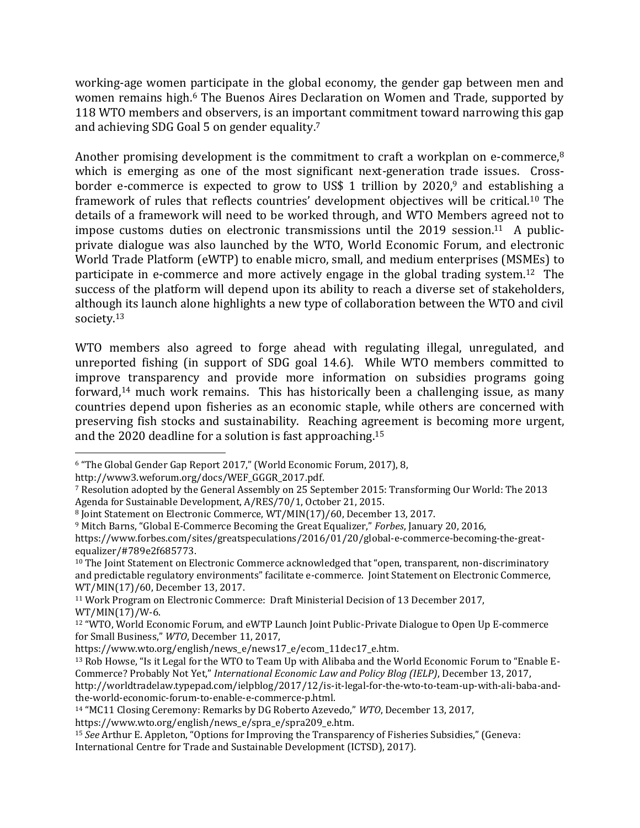working-age women participate in the global economy, the gender gap between men and women remains high.<sup>6</sup> The Buenos Aires Declaration on Women and Trade, supported by 118 WTO members and observers, is an important commitment toward narrowing this gap and achieving SDG Goal 5 on gender equality. 7

Another promising development is the commitment to craft a workplan on e-commerce,<sup>8</sup> which is emerging as one of the most significant next-generation trade issues. Crossborder e-commerce is expected to grow to US\$ 1 trillion by 2020, <sup>9</sup> and establishing a framework of rules that reflects countries' development objectives will be critical.<sup>10</sup> The details of a framework will need to be worked through, and WTO Members agreed not to impose customs duties on electronic transmissions until the  $2019$  session.<sup>11</sup> A publicprivate dialogue was also launched by the WTO, World Economic Forum, and electronic World Trade Platform (eWTP) to enable micro, small, and medium enterprises (MSMEs) to participate in e-commerce and more actively engage in the global trading system.<sup>12</sup> The success of the platform will depend upon its ability to reach a diverse set of stakeholders, although its launch alone highlights a new type of collaboration between the WTO and civil society. 13

WTO members also agreed to forge ahead with regulating illegal, unregulated, and unreported fishing (in support of SDG goal 14.6). While WTO members committed to improve transparency and provide more information on subsidies programs going forward,<sup>14</sup> much work remains. This has historically been a challenging issue, as many countries depend upon fisheries as an economic staple, while others are concerned with preserving fish stocks and sustainability. Reaching agreement is becoming more urgent, and the 2020 deadline for a solution is fast approaching.<sup>15</sup>

 $\overline{a}$ 

<sup>6</sup> "The Global Gender Gap Report 2017," (World Economic Forum, 2017), 8,

[http://www3.weforum.org/docs/WEF\\_GGGR\\_2017.pdf.](http://www3.weforum.org/docs/WEF_GGGR_2017.pdf) 

<sup>7</sup> Resolution adopted by the General Assembly on 25 September 2015: Transforming Our World: The 2013 Agenda for Sustainable Development, A/RES/70/1, October 21, 2015.

<sup>8</sup> Joint Statement on Electronic Commerce, WT/MIN(17)/60, December 13, 2017.

<sup>9</sup> Mitch Barns, "Global E-Commerce Becoming the Great Equalizer," *Forbes*, January 20, 2016, [https://www.forbes.com/sites/greatspeculations/2016/01/20/global-e-commerce-becoming-the-great](https://www.forbes.com/sites/greatspeculations/2016/01/20/global-e-commerce-becoming-the-great-equalizer/#789e2f685773)[equalizer/#789e2f685773.](https://www.forbes.com/sites/greatspeculations/2016/01/20/global-e-commerce-becoming-the-great-equalizer/#789e2f685773)

<sup>10</sup> The Joint Statement on Electronic Commerce acknowledged that "open, transparent, non-discriminatory and predictable regulatory environments" facilitate e-commerce. Joint Statement on Electronic Commerce, WT/MIN(17)/60, December 13, 2017.

<sup>11</sup> Work Program on Electronic Commerce: Draft Ministerial Decision of 13 December 2017, WT/MIN(17)/W-6.

<sup>12</sup> "WTO, World Economic Forum, and eWTP Launch Joint Public-Private Dialogue to Open Up E-commerce for Small Business," *WTO*, December 11, 2017,

[https://www.wto.org/english/news\\_e/news17\\_e/ecom\\_11dec17\\_e.htm.](https://www.wto.org/english/news_e/news17_e/ecom_11dec17_e.htm) 

<sup>13</sup> Rob Howse, "Is it Legal for the WTO to Team Up with Alibaba and the World Economic Forum to "Enable E-Commerce? Probably Not Yet," *International Economic Law and Policy Blog (IELP)*, December 13, 2017,

[http://worldtradelaw.typepad.com/ielpblog/2017/12/is-it-legal-for-the-wto-to-team-up-with-ali-baba-and](http://worldtradelaw.typepad.com/ielpblog/2017/12/is-it-legal-for-the-wto-to-team-up-with-ali-baba-and-the-world-economic-forum-to-enable-e-commerce-p.html)[the-world-economic-forum-to-enable-e-commerce-p.html.](http://worldtradelaw.typepad.com/ielpblog/2017/12/is-it-legal-for-the-wto-to-team-up-with-ali-baba-and-the-world-economic-forum-to-enable-e-commerce-p.html) 

<sup>14</sup> "MC11 Closing Ceremony: Remarks by DG Roberto Azevedo," *WTO*, December 13, 2017,

[https://www.wto.org/english/news\\_e/spra\\_e/spra209\\_e.htm.](https://www.wto.org/english/news_e/spra_e/spra209_e.htm)

<sup>15</sup> *See* Arthur E. Appleton, "Options for Improving the Transparency of Fisheries Subsidies," (Geneva: International Centre for Trade and Sustainable Development (ICTSD), 2017).